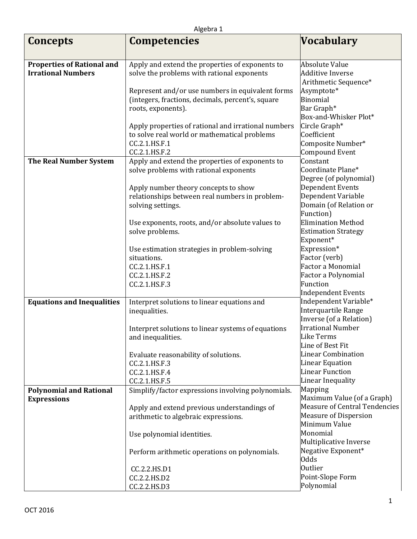| <b>Concepts</b>                   | <b>Competencies</b>                                                                                 | <b>Vocabulary</b>                            |
|-----------------------------------|-----------------------------------------------------------------------------------------------------|----------------------------------------------|
|                                   |                                                                                                     |                                              |
| <b>Properties of Rational and</b> | Apply and extend the properties of exponents to                                                     | <b>Absolute Value</b>                        |
| <b>Irrational Numbers</b>         | solve the problems with rational exponents                                                          | <b>Additive Inverse</b>                      |
|                                   |                                                                                                     | Arithmetic Sequence*                         |
|                                   | Represent and/or use numbers in equivalent forms                                                    | Asymptote*                                   |
|                                   | (integers, fractions, decimals, percent's, square                                                   | <b>Binomial</b>                              |
|                                   | roots, exponents).                                                                                  | Bar Graph*                                   |
|                                   |                                                                                                     | Box-and-Whisker Plot*<br>Circle Graph*       |
|                                   | Apply properties of rational and irrational numbers<br>to solve real world or mathematical problems | Coefficient                                  |
|                                   | CC.2.1.HS.F.1                                                                                       | Composite Number*                            |
|                                   | CC.2.1.HS.F.2                                                                                       | <b>Compound Event</b>                        |
| <b>The Real Number System</b>     | Apply and extend the properties of exponents to                                                     | Constant                                     |
|                                   | solve problems with rational exponents                                                              | Coordinate Plane*                            |
|                                   |                                                                                                     | Degree (of polynomial)                       |
|                                   | Apply number theory concepts to show                                                                | Dependent Events                             |
|                                   | relationships between real numbers in problem-                                                      | Dependent Variable                           |
|                                   | solving settings.                                                                                   | Domain (of Relation or                       |
|                                   |                                                                                                     | Function)                                    |
|                                   | Use exponents, roots, and/or absolute values to                                                     | <b>Elimination Method</b>                    |
|                                   | solve problems.                                                                                     | <b>Estimation Strategy</b>                   |
|                                   |                                                                                                     | Exponent*                                    |
|                                   | Use estimation strategies in problem-solving                                                        | Expression*                                  |
|                                   | situations.                                                                                         | Factor (verb)                                |
|                                   | CC.2.1.HS.F.1                                                                                       | <b>Factor a Monomial</b>                     |
|                                   | CC.2.1.HS.F.2                                                                                       | Factor a Polynomial                          |
|                                   | CC.2.1.HS.F.3                                                                                       | Function                                     |
|                                   |                                                                                                     | <b>Independent Events</b>                    |
| <b>Equations and Inequalities</b> | Interpret solutions to linear equations and                                                         | Independent Variable*<br>Interquartile Range |
|                                   | inequalities.                                                                                       | Inverse (of a Relation)                      |
|                                   | Interpret solutions to linear systems of equations                                                  | <b>Irrational Number</b>                     |
|                                   | and inequalities.                                                                                   | <b>Like Terms</b>                            |
|                                   |                                                                                                     | Line of Best Fit                             |
|                                   | Evaluate reasonability of solutions.                                                                | <b>Linear Combination</b>                    |
|                                   | CC.2.1.HS.F.3                                                                                       | <b>Linear Equation</b>                       |
|                                   | CC.2.1.HS.F.4                                                                                       | <b>Linear Function</b>                       |
|                                   | CC.2.1.HS.F.5                                                                                       | Linear Inequality                            |
| <b>Polynomial and Rational</b>    | Simplify/factor expressions involving polynomials.                                                  | Mapping                                      |
| <b>Expressions</b>                |                                                                                                     | Maximum Value (of a Graph)                   |
|                                   | Apply and extend previous understandings of                                                         | <b>Measure of Central Tendencies</b>         |
|                                   | arithmetic to algebraic expressions.                                                                | <b>Measure of Dispersion</b>                 |
|                                   |                                                                                                     | Minimum Value                                |
|                                   | Use polynomial identities.                                                                          | Monomial                                     |
|                                   |                                                                                                     | Multiplicative Inverse                       |
|                                   | Perform arithmetic operations on polynomials.                                                       | Negative Exponent*<br><b>Odds</b>            |
|                                   | CC.2.2.HS.D1                                                                                        | <b>Outlier</b>                               |
|                                   | CC.2.2.HS.D2                                                                                        | Point-Slope Form                             |
|                                   | CC.2.2.HS.D3                                                                                        | Polynomial                                   |
|                                   |                                                                                                     |                                              |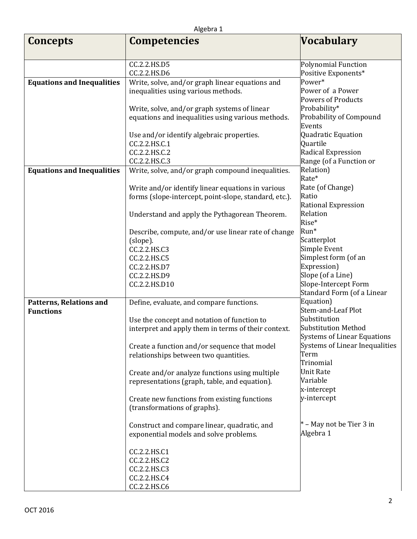| <b>Concepts</b>                   | <b>Competencies</b>                                   | Vocabulary                         |
|-----------------------------------|-------------------------------------------------------|------------------------------------|
|                                   |                                                       |                                    |
|                                   | CC.2.2.HS.D5                                          | Polynomial Function                |
|                                   | CC.2.2.HS.D6                                          | Positive Exponents*                |
| <b>Equations and Inequalities</b> | Write, solve, and/or graph linear equations and       | Power*                             |
|                                   | inequalities using various methods.                   | Power of a Power                   |
|                                   |                                                       | <b>Powers of Products</b>          |
|                                   | Write, solve, and/or graph systems of linear          | Probability*                       |
|                                   | equations and inequalities using various methods.     | Probability of Compound<br>Events  |
|                                   | Use and/or identify algebraic properties.             | Quadratic Equation                 |
|                                   | CC.2.2.HS.C.1                                         | Quartile                           |
|                                   | CC.2.2.HS.C.2                                         | Radical Expression                 |
|                                   | CC.2.2.HS.C.3                                         | Range (of a Function or            |
| <b>Equations and Inequalities</b> | Write, solve, and/or graph compound inequalities.     | Relation)                          |
|                                   |                                                       | Rate*                              |
|                                   | Write and/or identify linear equations in various     | Rate (of Change)                   |
|                                   | forms (slope-intercept, point-slope, standard, etc.). | Ratio                              |
|                                   |                                                       | Rational Expression                |
|                                   | Understand and apply the Pythagorean Theorem.         | Relation<br>Rise*                  |
|                                   | Describe, compute, and/or use linear rate of change   | Run*                               |
|                                   | (slope).                                              | Scatterplot                        |
|                                   | CC.2.2.HS.C3                                          | Simple Event                       |
|                                   | CC.2.2.HS.C5                                          | Simplest form (of an               |
|                                   | CC.2.2.HS.D7                                          | Expression)                        |
|                                   | CC.2.2.HS.D9                                          | Slope (of a Line)                  |
|                                   | CC.2.2.HS.D10                                         | Slope-Intercept Form               |
|                                   |                                                       | Standard Form (of a Linear         |
| <b>Patterns, Relations and</b>    | Define, evaluate, and compare functions.              | Equation)<br>Stem-and-Leaf Plot    |
| <b>Functions</b>                  | Use the concept and notation of function to           | Substitution                       |
|                                   | interpret and apply them in terms of their context.   | Substitution Method                |
|                                   |                                                       | <b>Systems of Linear Equations</b> |
|                                   | Create a function and/or sequence that model          | Systems of Linear Inequalities     |
|                                   | relationships between two quantities.                 | Term                               |
|                                   |                                                       | Trinomial                          |
|                                   | Create and/or analyze functions using multiple        | <b>Unit Rate</b>                   |
|                                   | representations (graph, table, and equation).         | Variable                           |
|                                   |                                                       | x-intercept                        |
|                                   | Create new functions from existing functions          | y-intercept                        |
|                                   | (transformations of graphs).                          |                                    |
|                                   | Construct and compare linear, quadratic, and          | $*$ – May not be Tier 3 in         |
|                                   | exponential models and solve problems.                | Algebra 1                          |
|                                   | CC.2.2.HS.C1                                          |                                    |
|                                   | CC.2.2.HS.C2                                          |                                    |
|                                   | CC.2.2.HS.C3                                          |                                    |
|                                   | CC.2.2.HS.C4                                          |                                    |
|                                   | CC.2.2.HS.C6                                          |                                    |